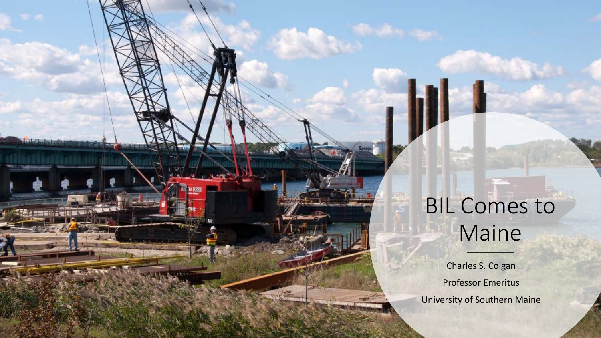### BIL Comes to Maine

Charles S. Colgan Professor Emeritus University of Southern Maine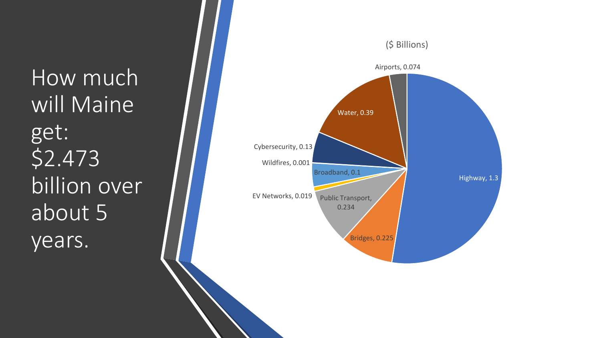How much will Maine get: \$2.473 billion over about 5 years.

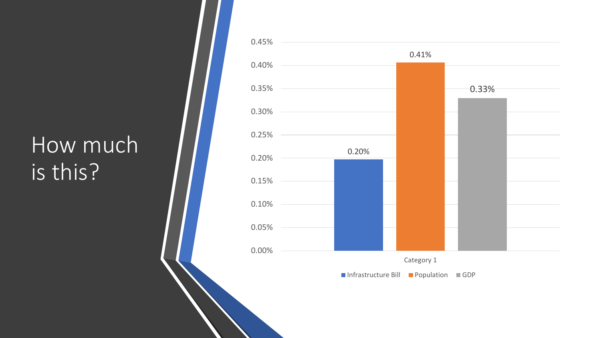### How much is this?

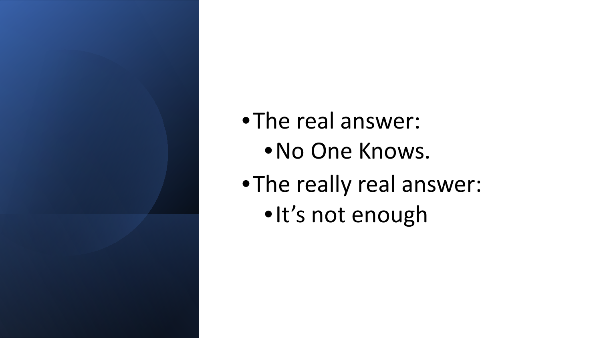### •The real answer:

- •No One Knows.
- •The really real answer:
	- •It's not enough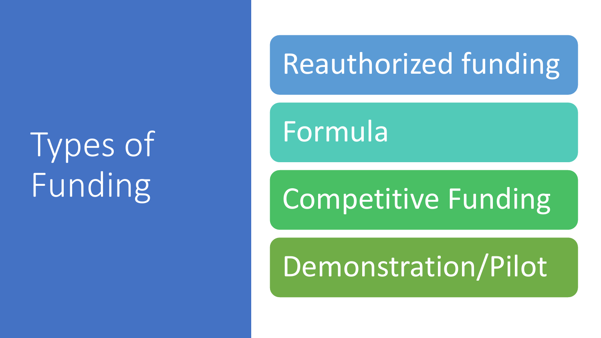Types of Funding

## Reauthorized funding

Formula

## Competitive Funding

## Demonstration/Pilot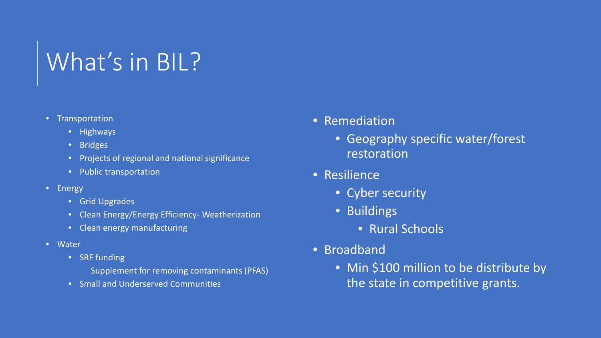### What's in BIL?

#### • Transportation

- Highways
- Bridges
- Projects of regional and national significance
- Public transportation
- Energy
	- Grid Upgrades
	- Clean Energy/Energy Efficiency- Weatherization
	- Clean energy manufacturing
- Water
	- SRF funding
		- Supplement for removing contaminants (PFAS)
	- Small and Underserved Communities
- Remediation
	- Geography specific water/forest restoration
- Resilience
	- Cyber security
	- Buildings
		- Rural Schools
- Broadband
	- Min \$100 million to be distribute by the state in competitive grants.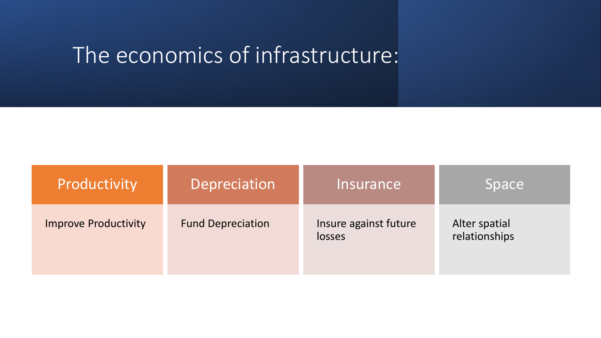### The economics of infrastructure:

| Productivity                | Depreciation             | Insurance                       | Space                          |
|-----------------------------|--------------------------|---------------------------------|--------------------------------|
| <b>Improve Productivity</b> | <b>Fund Depreciation</b> | Insure against future<br>losses | Alter spatial<br>relationships |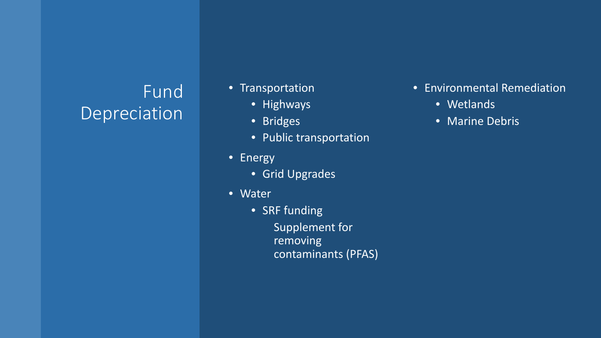### Fund Depreciation

- Transportation
	- Highways
	- Bridges
	- Public transportation
- Energy
	- Grid Upgrades
- Water
	- SRF funding
		- Supplement for removing contaminants (PFAS)
- Environmental Remediation
	- Wetlands
	- Marine Debris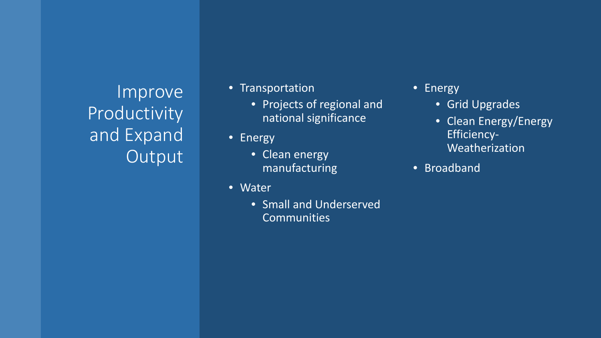Improve Productivity and Expand Output

- Transportation
	- Projects of regional and national significance
- Energy
	- Clean energy manufacturing
- Water
	- Small and Underserved **Communities**

• Energy

- Grid Upgrades
- Clean Energy/Energy Efficiency-Weatherization
- Broadband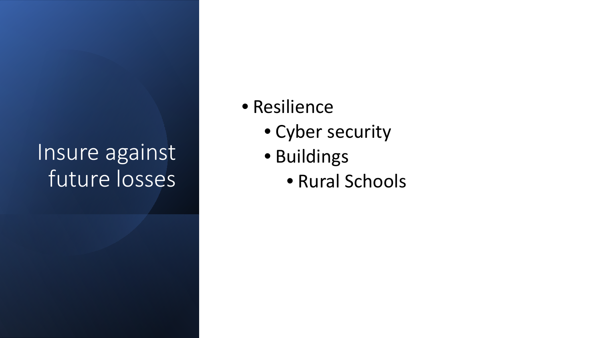### Insure against future losses

- Resilience
	- Cyber security
	- Buildings
		- Rural Schools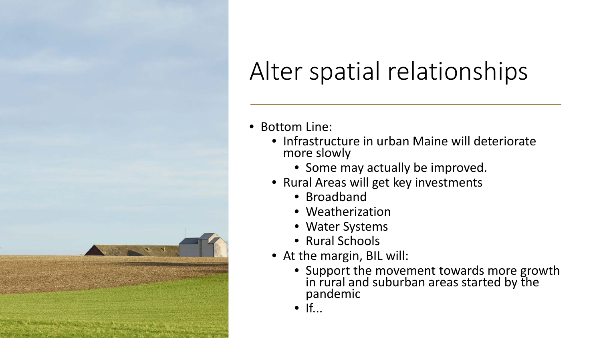### Alter spatial relationships



- Infrastructure in urban Maine will deteriorate more slowly
	- Some may actually be improved.
- Rural Areas will get key investments
	- Broadband
	- Weatherization
	- Water Systems
	- Rural Schools
- At the margin, BIL will:
	- Support the movement towards more growth in rural and suburban areas started by the pandemic
	- $If...$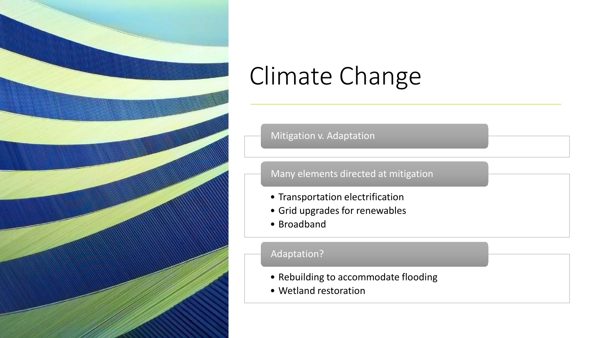

### Climate Change

Mitigation v. Adaptation

#### Many elements directed at mitigation

- Transportation electrification
- Grid upgrades for renewables
- Broadband

#### Adaptation?

- Rebuilding to accommodate flooding
- Wetland restoration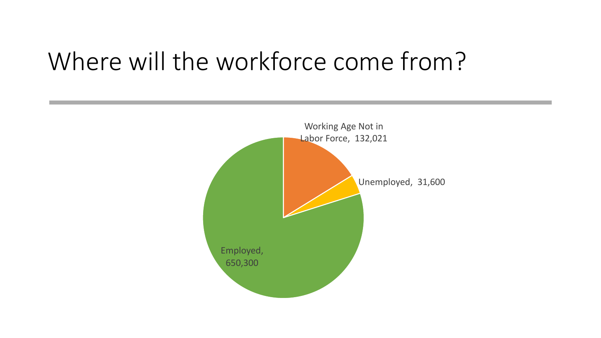### Where will the workforce come from?

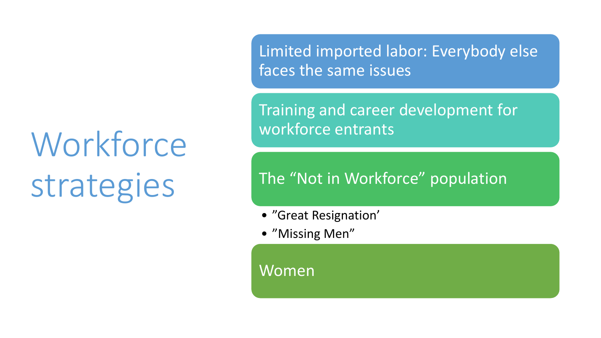# **Workforce** strategies

Limited imported labor: Everybody else faces the same issues

Training and career development for workforce entrants

#### The "Not in Workforce" population

- "Great Resignation'
- "Missing Men"

Women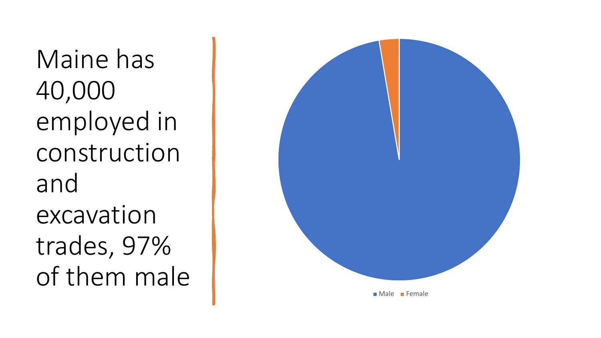Maine has 40,000 employed in construction and excavation trades, 97% of them male